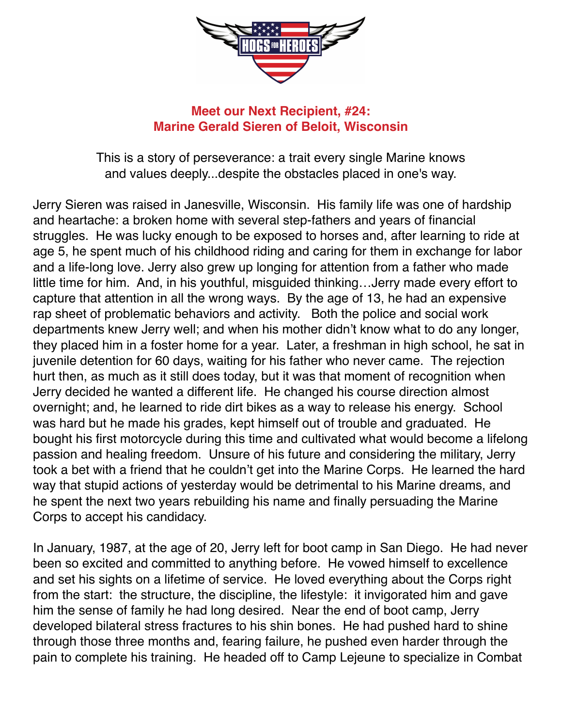

## **Meet our Next Recipient, #24: Marine Gerald Sieren of Beloit, Wisconsin**

This is a story of perseverance: a trait every single Marine knows and values deeply...despite the obstacles placed in one's way.

Jerry Sieren was raised in Janesville, Wisconsin. His family life was one of hardship and heartache: a broken home with several step-fathers and years of financial struggles. He was lucky enough to be exposed to horses and, after learning to ride at age 5, he spent much of his childhood riding and caring for them in exchange for labor and a life-long love. Jerry also grew up longing for attention from a father who made little time for him. And, in his youthful, misguided thinking…Jerry made every effort to capture that attention in all the wrong ways. By the age of 13, he had an expensive rap sheet of problematic behaviors and activity. Both the police and social work departments knew Jerry well; and when his mother didn't know what to do any longer, they placed him in a foster home for a year. Later, a freshman in high school, he sat in juvenile detention for 60 days, waiting for his father who never came. The rejection hurt then, as much as it still does today, but it was that moment of recognition when Jerry decided he wanted a different life. He changed his course direction almost overnight; and, he learned to ride dirt bikes as a way to release his energy. School was hard but he made his grades, kept himself out of trouble and graduated. He bought his first motorcycle during this time and cultivated what would become a lifelong passion and healing freedom. Unsure of his future and considering the military, Jerry took a bet with a friend that he couldn't get into the Marine Corps. He learned the hard way that stupid actions of yesterday would be detrimental to his Marine dreams, and he spent the next two years rebuilding his name and finally persuading the Marine Corps to accept his candidacy.

In January, 1987, at the age of 20, Jerry left for boot camp in San Diego. He had never been so excited and committed to anything before. He vowed himself to excellence and set his sights on a lifetime of service. He loved everything about the Corps right from the start: the structure, the discipline, the lifestyle: it invigorated him and gave him the sense of family he had long desired. Near the end of boot camp, Jerry developed bilateral stress fractures to his shin bones. He had pushed hard to shine through those three months and, fearing failure, he pushed even harder through the pain to complete his training. He headed off to Camp Lejeune to specialize in Combat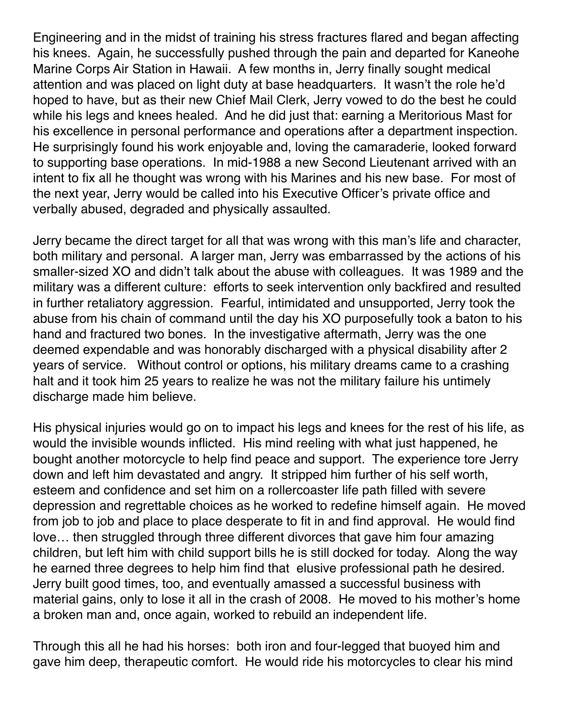Engineering and in the midst of training his stress fractures flared and began affecting his knees. Again, he successfully pushed through the pain and departed for Kaneohe Marine Corps Air Station in Hawaii. A few months in, Jerry finally sought medical attention and was placed on light duty at base headquarters. It wasn't the role he'd hoped to have, but as their new Chief Mail Clerk, Jerry vowed to do the best he could while his legs and knees healed. And he did just that: earning a Meritorious Mast for his excellence in personal performance and operations after a department inspection. He surprisingly found his work enjoyable and, loving the camaraderie, looked forward to supporting base operations. In mid-1988 a new Second Lieutenant arrived with an intent to fix all he thought was wrong with his Marines and his new base. For most of the next year, Jerry would be called into his Executive Officer's private office and verbally abused, degraded and physically assaulted.

Jerry became the direct target for all that was wrong with this man's life and character, both military and personal. A larger man, Jerry was embarrassed by the actions of his smaller-sized XO and didn't talk about the abuse with colleagues. It was 1989 and the military was a different culture: efforts to seek intervention only backfired and resulted in further retaliatory aggression. Fearful, intimidated and unsupported, Jerry took the abuse from his chain of command until the day his XO purposefully took a baton to his hand and fractured two bones. In the investigative aftermath, Jerry was the one deemed expendable and was honorably discharged with a physical disability after 2 years of service. Without control or options, his military dreams came to a crashing halt and it took him 25 years to realize he was not the military failure his untimely discharge made him believe.

His physical injuries would go on to impact his legs and knees for the rest of his life, as would the invisible wounds inflicted. His mind reeling with what just happened, he bought another motorcycle to help find peace and support. The experience tore Jerry down and left him devastated and angry. It stripped him further of his self worth, esteem and confidence and set him on a rollercoaster life path filled with severe depression and regrettable choices as he worked to redefine himself again. He moved from job to job and place to place desperate to fit in and find approval. He would find love… then struggled through three different divorces that gave him four amazing children, but left him with child support bills he is still docked for today. Along the way he earned three degrees to help him find that elusive professional path he desired. Jerry built good times, too, and eventually amassed a successful business with material gains, only to lose it all in the crash of 2008. He moved to his mother's home a broken man and, once again, worked to rebuild an independent life.

Through this all he had his horses: both iron and four-legged that buoyed him and gave him deep, therapeutic comfort. He would ride his motorcycles to clear his mind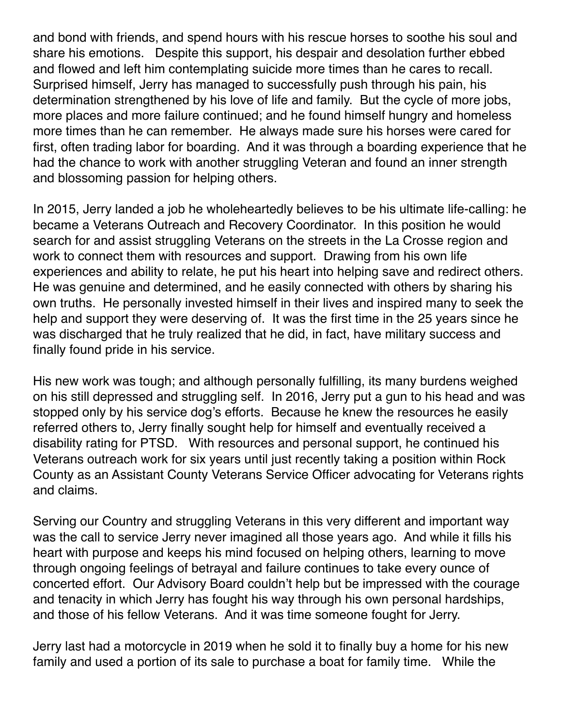and bond with friends, and spend hours with his rescue horses to soothe his soul and share his emotions. Despite this support, his despair and desolation further ebbed and flowed and left him contemplating suicide more times than he cares to recall. Surprised himself, Jerry has managed to successfully push through his pain, his determination strengthened by his love of life and family. But the cycle of more jobs, more places and more failure continued; and he found himself hungry and homeless more times than he can remember. He always made sure his horses were cared for first, often trading labor for boarding. And it was through a boarding experience that he had the chance to work with another struggling Veteran and found an inner strength and blossoming passion for helping others.

In 2015, Jerry landed a job he wholeheartedly believes to be his ultimate life-calling: he became a Veterans Outreach and Recovery Coordinator. In this position he would search for and assist struggling Veterans on the streets in the La Crosse region and work to connect them with resources and support. Drawing from his own life experiences and ability to relate, he put his heart into helping save and redirect others. He was genuine and determined, and he easily connected with others by sharing his own truths. He personally invested himself in their lives and inspired many to seek the help and support they were deserving of. It was the first time in the 25 years since he was discharged that he truly realized that he did, in fact, have military success and finally found pride in his service.

His new work was tough; and although personally fulfilling, its many burdens weighed on his still depressed and struggling self. In 2016, Jerry put a gun to his head and was stopped only by his service dog's efforts. Because he knew the resources he easily referred others to, Jerry finally sought help for himself and eventually received a disability rating for PTSD. With resources and personal support, he continued his Veterans outreach work for six years until just recently taking a position within Rock County as an Assistant County Veterans Service Officer advocating for Veterans rights and claims.

Serving our Country and struggling Veterans in this very different and important way was the call to service Jerry never imagined all those years ago. And while it fills his heart with purpose and keeps his mind focused on helping others, learning to move through ongoing feelings of betrayal and failure continues to take every ounce of concerted effort. Our Advisory Board couldn't help but be impressed with the courage and tenacity in which Jerry has fought his way through his own personal hardships, and those of his fellow Veterans. And it was time someone fought for Jerry.

Jerry last had a motorcycle in 2019 when he sold it to finally buy a home for his new family and used a portion of its sale to purchase a boat for family time. While the